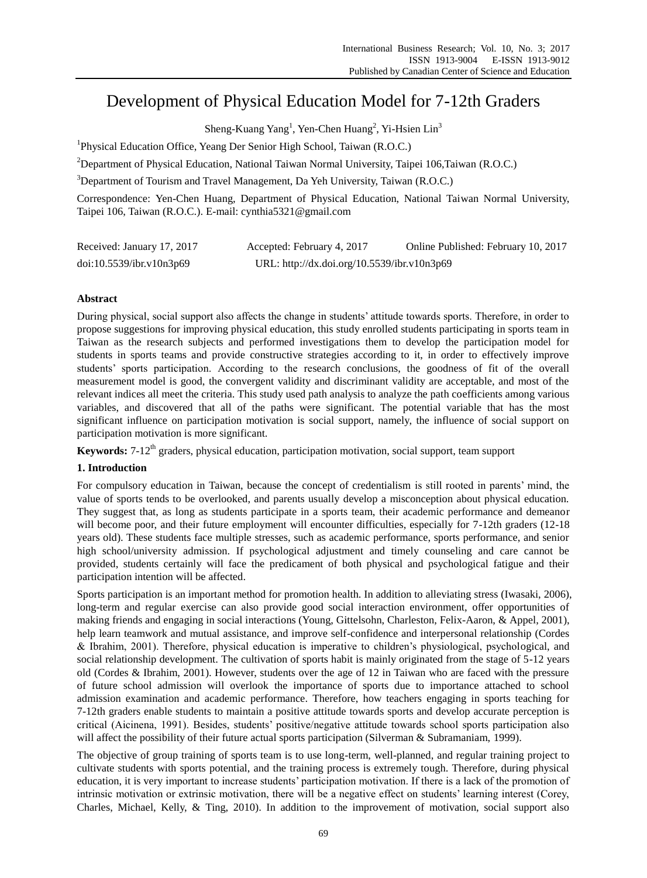# Development of Physical Education Model for 7-12th Graders

Sheng-Kuang Yang<sup>1</sup>, Yen-Chen Huang<sup>2</sup>, Yi-Hsien Lin<sup>3</sup>

<sup>1</sup>Physical Education Office, Yeang Der Senior High School, Taiwan (R.O.C.)

<sup>2</sup>Department of Physical Education, National Taiwan Normal University, Taipei 106,Taiwan (R.O.C.)

 $3$ Department of Tourism and Travel Management, Da Yeh University, Taiwan (R.O.C.)

Correspondence: Yen-Chen Huang, Department of Physical Education, National Taiwan Normal University, Taipei 106, Taiwan (R.O.C.). E-mail: cynthia5321@gmail.com

| Received: January 17, 2017 | Accepted: February 4, 2017                  | Online Published: February 10, 2017 |
|----------------------------|---------------------------------------------|-------------------------------------|
| doi:10.5539/ibr.v10n3p69   | URL: http://dx.doi.org/10.5539/ibr.v10n3p69 |                                     |

# **Abstract**

During physical, social support also affects the change in students' attitude towards sports. Therefore, in order to propose suggestions for improving physical education, this study enrolled students participating in sports team in Taiwan as the research subjects and performed investigations them to develop the participation model for students in sports teams and provide constructive strategies according to it, in order to effectively improve students' sports participation. According to the research conclusions, the goodness of fit of the overall measurement model is good, the convergent validity and discriminant validity are acceptable, and most of the relevant indices all meet the criteria. This study used path analysis to analyze the path coefficients among various variables, and discovered that all of the paths were significant. The potential variable that has the most significant influence on participation motivation is social support, namely, the influence of social support on participation motivation is more significant.

**Keywords:** 7-12<sup>th</sup> graders, physical education, participation motivation, social support, team support

# **1. Introduction**

For compulsory education in Taiwan, because the concept of credentialism is still rooted in parents' mind, the value of sports tends to be overlooked, and parents usually develop a misconception about physical education. They suggest that, as long as students participate in a sports team, their academic performance and demeanor will become poor, and their future employment will encounter difficulties, especially for 7-12th graders (12-18 years old). These students face multiple stresses, such as academic performance, sports performance, and senior high school/university admission. If psychological adjustment and timely counseling and care cannot be provided, students certainly will face the predicament of both physical and psychological fatigue and their participation intention will be affected.

Sports participation is an important method for promotion health. In addition to alleviating stress (Iwasaki, 2006), long-term and regular exercise can also provide good social interaction environment, offer opportunities of making friends and engaging in social interactions (Young, Gittelsohn, Charleston, Felix-Aaron, & Appel, 2001), help learn teamwork and mutual assistance, and improve self-confidence and interpersonal relationship (Cordes & Ibrahim, 2001). Therefore, physical education is imperative to children's physiological, psychological, and social relationship development. The cultivation of sports habit is mainly originated from the stage of 5-12 years old (Cordes & Ibrahim, 2001). However, students over the age of 12 in Taiwan who are faced with the pressure of future school admission will overlook the importance of sports due to importance attached to school admission examination and academic performance. Therefore, how teachers engaging in sports teaching for 7-12th graders enable students to maintain a positive attitude towards sports and develop accurate perception is critical (Aicinena, 1991). Besides, students' positive/negative attitude towards school sports participation also will affect the possibility of their future actual sports participation (Silverman & Subramaniam, 1999).

The objective of group training of sports team is to use long-term, well-planned, and regular training project to cultivate students with sports potential, and the training process is extremely tough. Therefore, during physical education, it is very important to increase students' participation motivation. If there is a lack of the promotion of intrinsic motivation or extrinsic motivation, there will be a negative effect on students' learning interest (Corey, Charles, Michael, Kelly, & Ting, 2010). In addition to the improvement of motivation, social support also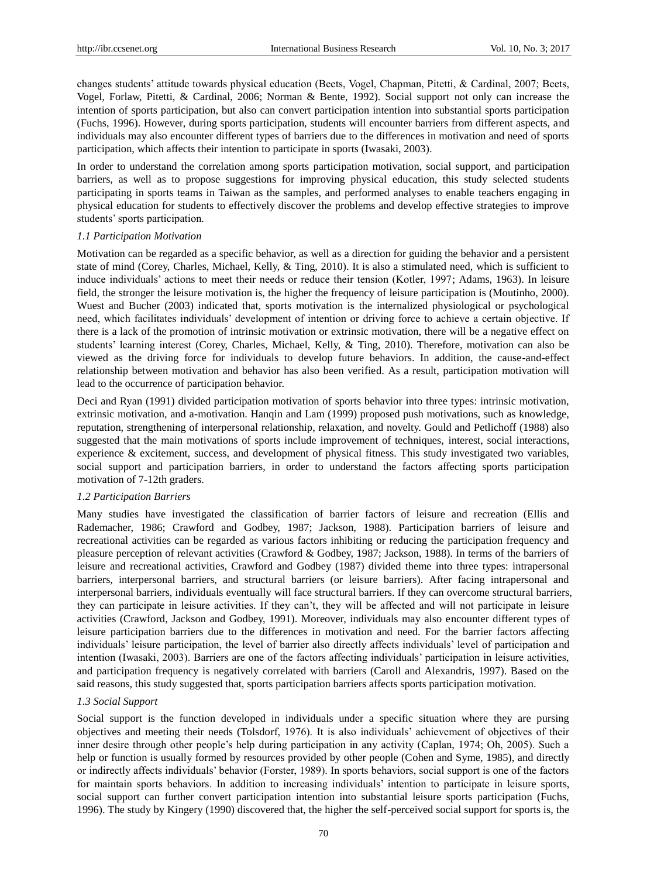changes students' attitude towards physical education (Beets, Vogel, Chapman, Pitetti, & Cardinal, 2007; Beets, Vogel, Forlaw, Pitetti, & Cardinal, 2006; Norman & Bente, 1992). Social support not only can increase the intention of sports participation, but also can convert participation intention into substantial sports participation (Fuchs, 1996). However, during sports participation, students will encounter barriers from different aspects, and individuals may also encounter different types of barriers due to the differences in motivation and need of sports participation, which affects their intention to participate in sports (Iwasaki, 2003).

In order to understand the correlation among sports participation motivation, social support, and participation barriers, as well as to propose suggestions for improving physical education, this study selected students participating in sports teams in Taiwan as the samples, and performed analyses to enable teachers engaging in physical education for students to effectively discover the problems and develop effective strategies to improve students' sports participation.

#### *1.1 Participation Motivation*

Motivation can be regarded as a specific behavior, as well as a direction for guiding the behavior and a persistent state of mind (Corey, Charles, Michael, Kelly, & Ting, 2010). It is also a stimulated need, which is sufficient to induce individuals' actions to meet their needs or reduce their tension (Kotler, 1997; Adams, 1963). In leisure field, the stronger the leisure motivation is, the higher the frequency of leisure participation is (Moutinho, 2000). Wuest and Bucher (2003) indicated that, sports motivation is the internalized physiological or psychological need, which facilitates individuals' development of intention or driving force to achieve a certain objective. If there is a lack of the promotion of intrinsic motivation or extrinsic motivation, there will be a negative effect on students' learning interest (Corey, Charles, Michael, Kelly, & Ting, 2010). Therefore, motivation can also be viewed as the driving force for individuals to develop future behaviors. In addition, the cause-and-effect relationship between motivation and behavior has also been verified. As a result, participation motivation will lead to the occurrence of participation behavior.

Deci and Ryan (1991) divided participation motivation of sports behavior into three types: intrinsic motivation, extrinsic motivation, and a-motivation. Hanqin and Lam (1999) proposed push motivations, such as knowledge, reputation, strengthening of interpersonal relationship, relaxation, and novelty. Gould and Petlichoff (1988) also suggested that the main motivations of sports include improvement of techniques, interest, social interactions, experience & excitement, success, and development of physical fitness. This study investigated two variables, social support and participation barriers, in order to understand the factors affecting sports participation motivation of 7-12th graders.

## *1.2 Participation Barriers*

Many studies have investigated the classification of barrier factors of leisure and recreation (Ellis and Rademacher, 1986; Crawford and Godbey, 1987; Jackson, 1988). Participation barriers of leisure and recreational activities can be regarded as various factors inhibiting or reducing the participation frequency and pleasure perception of relevant activities (Crawford & Godbey, 1987; Jackson, 1988). In terms of the barriers of leisure and recreational activities, Crawford and Godbey (1987) divided theme into three types: intrapersonal barriers, interpersonal barriers, and structural barriers (or leisure barriers). After facing intrapersonal and interpersonal barriers, individuals eventually will face structural barriers. If they can overcome structural barriers, they can participate in leisure activities. If they can't, they will be affected and will not participate in leisure activities (Crawford, Jackson and Godbey, 1991). Moreover, individuals may also encounter different types of leisure participation barriers due to the differences in motivation and need. For the barrier factors affecting individuals' leisure participation, the level of barrier also directly affects individuals' level of participation and intention (Iwasaki, 2003). Barriers are one of the factors affecting individuals' participation in leisure activities, and participation frequency is negatively correlated with barriers (Caroll and Alexandris, 1997). Based on the said reasons, this study suggested that, sports participation barriers affects sports participation motivation.

#### *1.3 Social Support*

Social support is the function developed in individuals under a specific situation where they are pursing objectives and meeting their needs (Tolsdorf, 1976). It is also individuals' achievement of objectives of their inner desire through other people's help during participation in any activity (Caplan, 1974; Oh, 2005). Such a help or function is usually formed by resources provided by other people (Cohen and Syme, 1985), and directly or indirectly affects individuals' behavior (Forster, 1989). In sports behaviors, social support is one of the factors for maintain sports behaviors. In addition to increasing individuals' intention to participate in leisure sports, social support can further convert participation intention into substantial leisure sports participation (Fuchs, 1996). The study by Kingery (1990) discovered that, the higher the self-perceived social support for sports is, the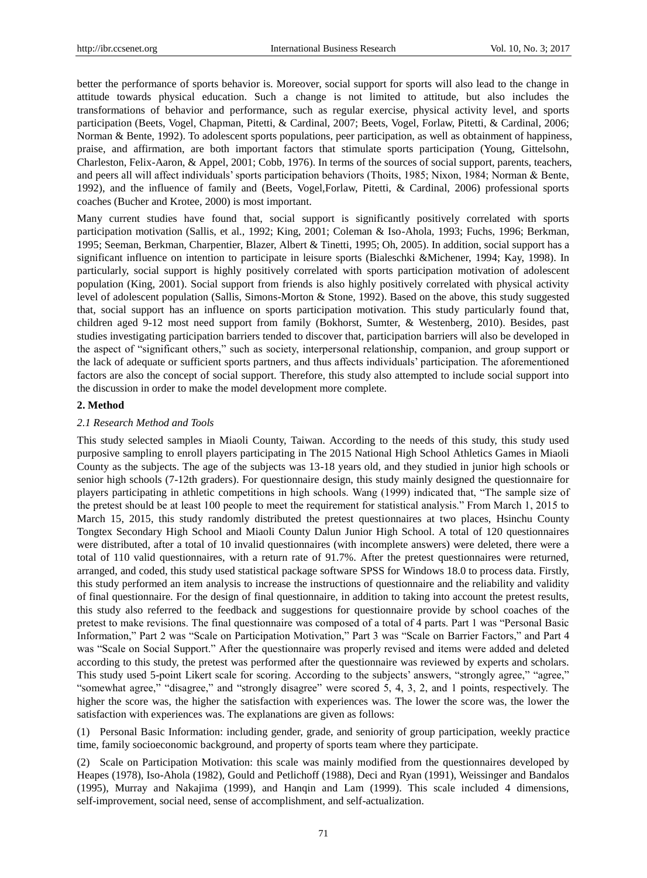better the performance of sports behavior is. Moreover, social support for sports will also lead to the change in attitude towards physical education. Such a change is not limited to attitude, but also includes the transformations of behavior and performance, such as regular exercise, physical activity level, and sports participation (Beets, Vogel, Chapman, Pitetti, & Cardinal, 2007; Beets, Vogel, Forlaw, Pitetti, & Cardinal, 2006; Norman & Bente, 1992). To adolescent sports populations, peer participation, as well as obtainment of happiness, praise, and affirmation, are both important factors that stimulate sports participation (Young, Gittelsohn, Charleston, Felix-Aaron, & Appel, 2001; Cobb, 1976). In terms of the sources of social support, parents, teachers, and peers all will affect individuals' sports participation behaviors (Thoits, 1985; Nixon, 1984; Norman & Bente, 1992), and the influence of family and (Beets, Vogel,Forlaw, Pitetti, & Cardinal, 2006) professional sports coaches (Bucher and Krotee, 2000) is most important.

Many current studies have found that, social support is significantly positively correlated with sports participation motivation (Sallis, et al., 1992; King, 2001; Coleman & Iso-Ahola, 1993; Fuchs, 1996; Berkman, 1995; Seeman, Berkman, Charpentier, Blazer, Albert & Tinetti, 1995; Oh, 2005). In addition, social support has a significant influence on intention to participate in leisure sports (Bialeschki &Michener, 1994; Kay, 1998). In particularly, social support is highly positively correlated with sports participation motivation of adolescent population (King, 2001). Social support from friends is also highly positively correlated with physical activity level of adolescent population (Sallis, Simons-Morton & Stone, 1992). Based on the above, this study suggested that, social support has an influence on sports participation motivation. This study particularly found that, children aged 9-12 most need support from family (Bokhorst, Sumter, & Westenberg, 2010). Besides, past studies investigating participation barriers tended to discover that, participation barriers will also be developed in the aspect of "significant others," such as society, interpersonal relationship, companion, and group support or the lack of adequate or sufficient sports partners, and thus affects individuals' participation. The aforementioned factors are also the concept of social support. Therefore, this study also attempted to include social support into the discussion in order to make the model development more complete.

#### **2. Method**

#### *2.1 Research Method and Tools*

This study selected samples in Miaoli County, Taiwan. According to the needs of this study, this study used purposive sampling to enroll players participating in The 2015 National High School Athletics Games in Miaoli County as the subjects. The age of the subjects was 13-18 years old, and they studied in junior high schools or senior high schools (7-12th graders). For questionnaire design, this study mainly designed the questionnaire for players participating in athletic competitions in high schools. Wang (1999) indicated that, "The sample size of the pretest should be at least 100 people to meet the requirement for statistical analysis." From March 1, 2015 to March 15, 2015, this study randomly distributed the pretest questionnaires at two places, Hsinchu County Tongtex Secondary High School and Miaoli County Dalun Junior High School. A total of 120 questionnaires were distributed, after a total of 10 invalid questionnaires (with incomplete answers) were deleted, there were a total of 110 valid questionnaires, with a return rate of 91.7%. After the pretest questionnaires were returned, arranged, and coded, this study used statistical package software SPSS for Windows 18.0 to process data. Firstly, this study performed an item analysis to increase the instructions of questionnaire and the reliability and validity of final questionnaire. For the design of final questionnaire, in addition to taking into account the pretest results, this study also referred to the feedback and suggestions for questionnaire provide by school coaches of the pretest to make revisions. The final questionnaire was composed of a total of 4 parts. Part 1 was "Personal Basic Information," Part 2 was "Scale on Participation Motivation," Part 3 was "Scale on Barrier Factors," and Part 4 was "Scale on Social Support." After the questionnaire was properly revised and items were added and deleted according to this study, the pretest was performed after the questionnaire was reviewed by experts and scholars. This study used 5-point Likert scale for scoring. According to the subjects' answers, "strongly agree," "agree," "somewhat agree," "disagree," and "strongly disagree" were scored 5, 4, 3, 2, and 1 points, respectively. The higher the score was, the higher the satisfaction with experiences was. The lower the score was, the lower the satisfaction with experiences was. The explanations are given as follows:

(1) Personal Basic Information: including gender, grade, and seniority of group participation, weekly practice time, family socioeconomic background, and property of sports team where they participate.

(2) Scale on Participation Motivation: this scale was mainly modified from the questionnaires developed by Heapes (1978), Iso-Ahola (1982), Gould and Petlichoff (1988), Deci and Ryan (1991), Weissinger and Bandalos (1995), Murray and Nakajima (1999), and Hanqin and Lam (1999). This scale included 4 dimensions, self-improvement, social need, sense of accomplishment, and self-actualization.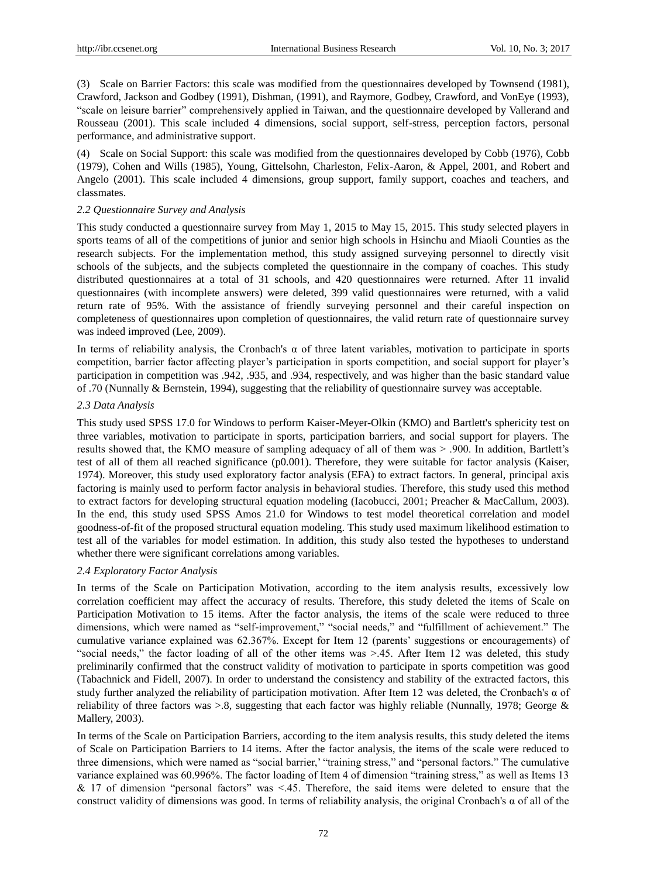(3) Scale on Barrier Factors: this scale was modified from the questionnaires developed by Townsend (1981), Crawford, Jackson and Godbey (1991), Dishman, (1991), and Raymore, Godbey, Crawford, and VonEye (1993), "scale on leisure barrier" comprehensively applied in Taiwan, and the questionnaire developed by Vallerand and Rousseau (2001). This scale included 4 dimensions, social support, self-stress, perception factors, personal performance, and administrative support.

(4) Scale on Social Support: this scale was modified from the questionnaires developed by Cobb (1976), Cobb (1979), Cohen and Wills (1985), Young, Gittelsohn, Charleston, Felix-Aaron, & Appel, 2001, and Robert and Angelo (2001). This scale included 4 dimensions, group support, family support, coaches and teachers, and classmates.

#### *2.2 Questionnaire Survey and Analysis*

This study conducted a questionnaire survey from May 1, 2015 to May 15, 2015. This study selected players in sports teams of all of the competitions of junior and senior high schools in Hsinchu and Miaoli Counties as the research subjects. For the implementation method, this study assigned surveying personnel to directly visit schools of the subjects, and the subjects completed the questionnaire in the company of coaches. This study distributed questionnaires at a total of 31 schools, and 420 questionnaires were returned. After 11 invalid questionnaires (with incomplete answers) were deleted, 399 valid questionnaires were returned, with a valid return rate of 95%. With the assistance of friendly surveying personnel and their careful inspection on completeness of questionnaires upon completion of questionnaires, the valid return rate of questionnaire survey was indeed improved (Lee, 2009).

In terms of reliability analysis, the Cronbach's  $\alpha$  of three latent variables, motivation to participate in sports competition, barrier factor affecting player's participation in sports competition, and social support for player's participation in competition was .942, .935, and .934, respectively, and was higher than the basic standard value of .70 (Nunnally & Bernstein, 1994), suggesting that the reliability of questionnaire survey was acceptable.

#### *2.3 Data Analysis*

This study used SPSS 17.0 for Windows to perform Kaiser-Meyer-Olkin (KMO) and Bartlett's sphericity test on three variables, motivation to participate in sports, participation barriers, and social support for players. The results showed that, the KMO measure of sampling adequacy of all of them was > .900. In addition, Bartlett's test of all of them all reached significance (p0.001). Therefore, they were suitable for factor analysis (Kaiser, 1974). Moreover, this study used exploratory factor analysis (EFA) to extract factors. In general, principal axis factoring is mainly used to perform factor analysis in behavioral studies. Therefore, this study used this method to extract factors for developing structural equation modeling (Iacobucci, 2001; Preacher & MacCallum, 2003). In the end, this study used SPSS Amos 21.0 for Windows to test model theoretical correlation and model goodness-of-fit of the proposed structural equation modeling. This study used maximum likelihood estimation to test all of the variables for model estimation. In addition, this study also tested the hypotheses to understand whether there were significant correlations among variables.

#### *2.4 Exploratory Factor Analysis*

In terms of the Scale on Participation Motivation, according to the item analysis results, excessively low correlation coefficient may affect the accuracy of results. Therefore, this study deleted the items of Scale on Participation Motivation to 15 items. After the factor analysis, the items of the scale were reduced to three dimensions, which were named as "self-improvement," "social needs," and "fulfillment of achievement." The cumulative variance explained was 62.367%. Except for Item 12 (parents' suggestions or encouragements) of "social needs," the factor loading of all of the other items was >.45. After Item 12 was deleted, this study preliminarily confirmed that the construct validity of motivation to participate in sports competition was good (Tabachnick and Fidell, 2007). In order to understand the consistency and stability of the extracted factors, this study further analyzed the reliability of participation motivation. After Item 12 was deleted, the Cronbach's α of reliability of three factors was >.8, suggesting that each factor was highly reliable (Nunnally, 1978; George & Mallery, 2003).

In terms of the Scale on Participation Barriers, according to the item analysis results, this study deleted the items of Scale on Participation Barriers to 14 items. After the factor analysis, the items of the scale were reduced to three dimensions, which were named as "social barrier,' "training stress," and "personal factors." The cumulative variance explained was 60.996%. The factor loading of Item 4 of dimension "training stress," as well as Items 13 & 17 of dimension "personal factors" was <.45. Therefore, the said items were deleted to ensure that the construct validity of dimensions was good. In terms of reliability analysis, the original Cronbach's α of all of the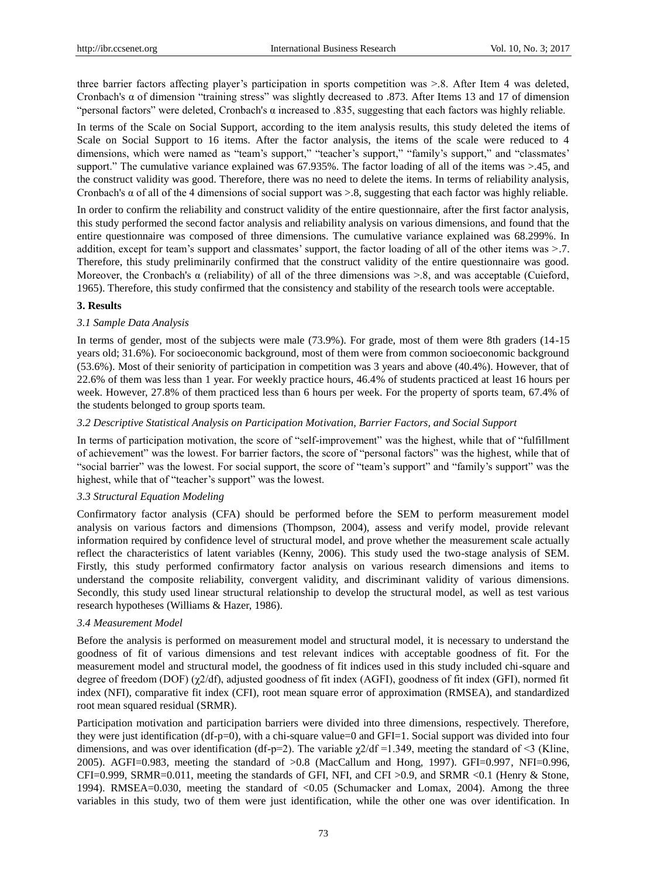three barrier factors affecting player's participation in sports competition was >.8. After Item 4 was deleted, Cronbach's α of dimension "training stress" was slightly decreased to .873. After Items 13 and 17 of dimension "personal factors" were deleted, Cronbach's α increased to .835, suggesting that each factors was highly reliable.

In terms of the Scale on Social Support, according to the item analysis results, this study deleted the items of Scale on Social Support to 16 items. After the factor analysis, the items of the scale were reduced to 4 dimensions, which were named as "team's support," "teacher's support," "family's support," and "classmates' support." The cumulative variance explained was 67.935%. The factor loading of all of the items was >.45, and the construct validity was good. Therefore, there was no need to delete the items. In terms of reliability analysis, Cronbach's  $\alpha$  of all of the 4 dimensions of social support was  $> 8$ , suggesting that each factor was highly reliable.

In order to confirm the reliability and construct validity of the entire questionnaire, after the first factor analysis, this study performed the second factor analysis and reliability analysis on various dimensions, and found that the entire questionnaire was composed of three dimensions. The cumulative variance explained was 68.299%. In addition, except for team's support and classmates' support, the factor loading of all of the other items was >.7. Therefore, this study preliminarily confirmed that the construct validity of the entire questionnaire was good. Moreover, the Cronbach's α (reliability) of all of the three dimensions was >.8, and was acceptable (Cuieford, 1965). Therefore, this study confirmed that the consistency and stability of the research tools were acceptable.

#### **3. Results**

#### *3.1 Sample Data Analysis*

In terms of gender, most of the subjects were male (73.9%). For grade, most of them were 8th graders (14-15 years old; 31.6%). For socioeconomic background, most of them were from common socioeconomic background (53.6%). Most of their seniority of participation in competition was 3 years and above (40.4%). However, that of 22.6% of them was less than 1 year. For weekly practice hours, 46.4% of students practiced at least 16 hours per week. However, 27.8% of them practiced less than 6 hours per week. For the property of sports team, 67.4% of the students belonged to group sports team.

#### *3.2 Descriptive Statistical Analysis on Participation Motivation, Barrier Factors, and Social Support*

In terms of participation motivation, the score of "self-improvement" was the highest, while that of "fulfillment of achievement" was the lowest. For barrier factors, the score of "personal factors" was the highest, while that of "social barrier" was the lowest. For social support, the score of "team's support" and "family's support" was the highest, while that of "teacher's support" was the lowest.

#### *3.3 Structural Equation Modeling*

Confirmatory factor analysis (CFA) should be performed before the SEM to perform measurement model analysis on various factors and dimensions (Thompson, 2004), assess and verify model, provide relevant information required by confidence level of structural model, and prove whether the measurement scale actually reflect the characteristics of latent variables (Kenny, 2006). This study used the two-stage analysis of SEM. Firstly, this study performed confirmatory factor analysis on various research dimensions and items to understand the composite reliability, convergent validity, and discriminant validity of various dimensions. Secondly, this study used linear structural relationship to develop the structural model, as well as test various research hypotheses (Williams & Hazer, 1986).

## *3.4 Measurement Model*

Before the analysis is performed on measurement model and structural model, it is necessary to understand the goodness of fit of various dimensions and test relevant indices with acceptable goodness of fit. For the measurement model and structural model, the goodness of fit indices used in this study included chi-square and degree of freedom (DOF) (χ2/df), adjusted goodness of fit index (AGFI), goodness of fit index (GFI), normed fit index (NFI), comparative fit index (CFI), root mean square error of approximation (RMSEA), and standardized root mean squared residual (SRMR).

Participation motivation and participation barriers were divided into three dimensions, respectively. Therefore, they were just identification (df-p=0), with a chi-square value=0 and GFI=1. Social support was divided into four dimensions, and was over identification (df-p=2). The variable  $\chi$ 2/df =1.349, meeting the standard of <3 (Kline, 2005). AGFI=0.983, meeting the standard of >0.8 (MacCallum and Hong, 1997). GFI=0.997, NFI=0.996, CFI=0.999, SRMR=0.011, meeting the standards of GFI, NFI, and CFI >0.9, and SRMR <0.1 (Henry & Stone, 1994). RMSEA=0.030, meeting the standard of <0.05 (Schumacker and Lomax, 2004). Among the three variables in this study, two of them were just identification, while the other one was over identification. In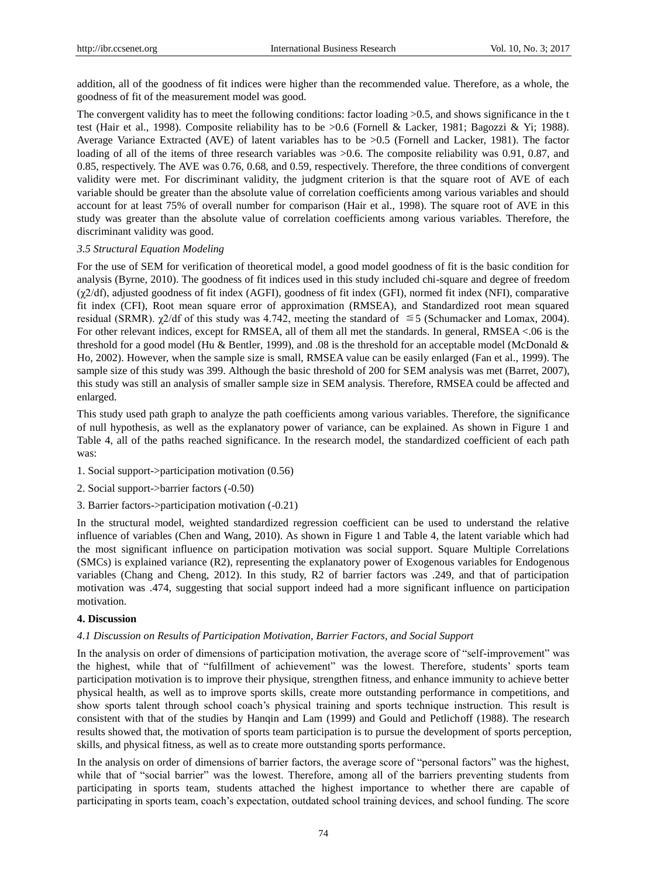addition, all of the goodness of fit indices were higher than the recommended value. Therefore, as a whole, the goodness of fit of the measurement model was good.

The convergent validity has to meet the following conditions: factor loading >0.5, and shows significance in the t test (Hair et al., 1998). Composite reliability has to be >0.6 (Fornell & Lacker, 1981; Bagozzi & Yi; 1988). Average Variance Extracted (AVE) of latent variables has to be >0.5 (Fornell and Lacker, 1981). The factor loading of all of the items of three research variables was  $> 0.6$ . The composite reliability was 0.91, 0.87, and 0.85, respectively. The AVE was 0.76, 0.68, and 0.59, respectively. Therefore, the three conditions of convergent validity were met. For discriminant validity, the judgment criterion is that the square root of AVE of each variable should be greater than the absolute value of correlation coefficients among various variables and should account for at least 75% of overall number for comparison (Hair et al., 1998). The square root of AVE in this study was greater than the absolute value of correlation coefficients among various variables. Therefore, the discriminant validity was good.

#### *3.5 Structural Equation Modeling*

For the use of SEM for verification of theoretical model, a good model goodness of fit is the basic condition for analysis (Byrne, 2010). The goodness of fit indices used in this study included chi-square and degree of freedom (χ2/df), adjusted goodness of fit index (AGFI), goodness of fit index (GFI), normed fit index (NFI), comparative fit index (CFI), Root mean square error of approximation (RMSEA), and Standardized root mean squared residual (SRMR). χ2/df of this study was 4.742, meeting the standard of ≦5 (Schumacker and Lomax, 2004). For other relevant indices, except for RMSEA, all of them all met the standards. In general, RMSEA <.06 is the threshold for a good model (Hu & Bentler, 1999), and .08 is the threshold for an acceptable model (McDonald & Ho, 2002). However, when the sample size is small, RMSEA value can be easily enlarged (Fan et al., 1999). The sample size of this study was 399. Although the basic threshold of 200 for SEM analysis was met (Barret, 2007), this study was still an analysis of smaller sample size in SEM analysis. Therefore, RMSEA could be affected and enlarged.

This study used path graph to analyze the path coefficients among various variables. Therefore, the significance of null hypothesis, as well as the explanatory power of variance, can be explained. As shown in Figure 1 and Table 4, all of the paths reached significance. In the research model, the standardized coefficient of each path was:

- 1. Social support->participation motivation (0.56)
- 2. Social support->barrier factors (-0.50)
- 3. Barrier factors->participation motivation (-0.21)

In the structural model, weighted standardized regression coefficient can be used to understand the relative influence of variables (Chen and Wang, 2010). As shown in Figure 1 and Table 4, the latent variable which had the most significant influence on participation motivation was social support. Square Multiple Correlations (SMCs) is explained variance (R2), representing the explanatory power of Exogenous variables for Endogenous variables (Chang and Cheng, 2012). In this study, R2 of barrier factors was .249, and that of participation motivation was .474, suggesting that social support indeed had a more significant influence on participation motivation.

#### **4. Discussion**

#### *4.1 Discussion on Results of Participation Motivation, Barrier Factors, and Social Support*

In the analysis on order of dimensions of participation motivation, the average score of "self-improvement" was the highest, while that of "fulfillment of achievement" was the lowest. Therefore, students' sports team participation motivation is to improve their physique, strengthen fitness, and enhance immunity to achieve better physical health, as well as to improve sports skills, create more outstanding performance in competitions, and show sports talent through school coach's physical training and sports technique instruction. This result is consistent with that of the studies by Hanqin and Lam (1999) and Gould and Petlichoff (1988). The research results showed that, the motivation of sports team participation is to pursue the development of sports perception, skills, and physical fitness, as well as to create more outstanding sports performance.

In the analysis on order of dimensions of barrier factors, the average score of "personal factors" was the highest, while that of "social barrier" was the lowest. Therefore, among all of the barriers preventing students from participating in sports team, students attached the highest importance to whether there are capable of participating in sports team, coach's expectation, outdated school training devices, and school funding. The score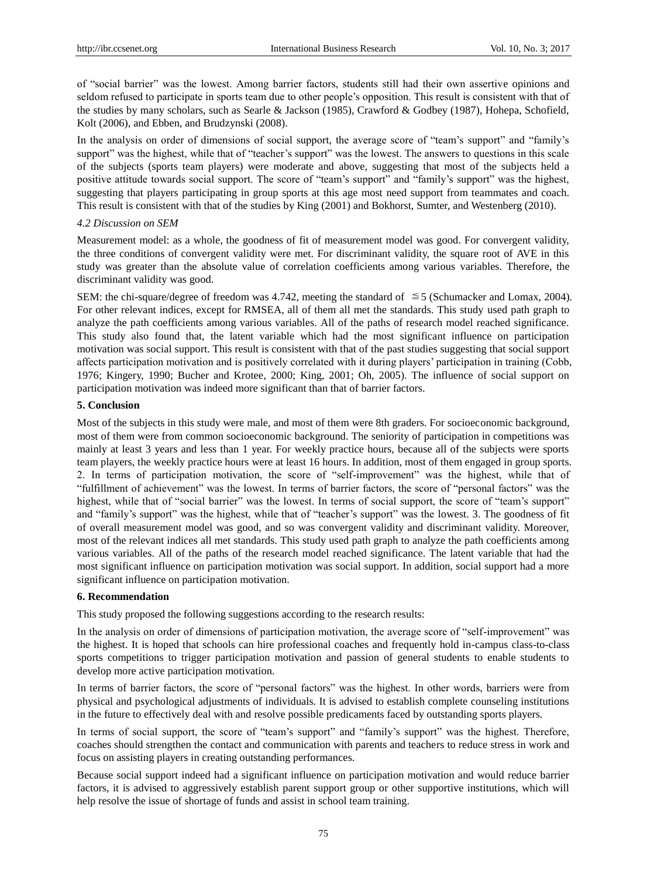of "social barrier" was the lowest. Among barrier factors, students still had their own assertive opinions and seldom refused to participate in sports team due to other people's opposition. This result is consistent with that of the studies by many scholars, such as Searle & Jackson (1985), Crawford & Godbey (1987), Hohepa, Schofield, Kolt (2006), and Ebben, and Brudzynski (2008).

In the analysis on order of dimensions of social support, the average score of "team's support" and "family's support" was the highest, while that of "teacher's support" was the lowest. The answers to questions in this scale of the subjects (sports team players) were moderate and above, suggesting that most of the subjects held a positive attitude towards social support. The score of "team's support" and "family's support" was the highest, suggesting that players participating in group sports at this age most need support from teammates and coach. This result is consistent with that of the studies by King (2001) and Bokhorst, Sumter, and Westenberg (2010).

#### *4.2 Discussion on SEM*

Measurement model: as a whole, the goodness of fit of measurement model was good. For convergent validity, the three conditions of convergent validity were met. For discriminant validity, the square root of AVE in this study was greater than the absolute value of correlation coefficients among various variables. Therefore, the discriminant validity was good.

SEM: the chi-square/degree of freedom was 4.742, meeting the standard of  $\leq$  5 (Schumacker and Lomax, 2004). For other relevant indices, except for RMSEA, all of them all met the standards. This study used path graph to analyze the path coefficients among various variables. All of the paths of research model reached significance. This study also found that, the latent variable which had the most significant influence on participation motivation was social support. This result is consistent with that of the past studies suggesting that social support affects participation motivation and is positively correlated with it during players' participation in training (Cobb, 1976; Kingery, 1990; Bucher and Krotee, 2000; King, 2001; Oh, 2005). The influence of social support on participation motivation was indeed more significant than that of barrier factors.

#### **5. Conclusion**

Most of the subjects in this study were male, and most of them were 8th graders. For socioeconomic background, most of them were from common socioeconomic background. The seniority of participation in competitions was mainly at least 3 years and less than 1 year. For weekly practice hours, because all of the subjects were sports team players, the weekly practice hours were at least 16 hours. In addition, most of them engaged in group sports. 2. In terms of participation motivation, the score of "self-improvement" was the highest, while that of "fulfillment of achievement" was the lowest. In terms of barrier factors, the score of "personal factors" was the highest, while that of "social barrier" was the lowest. In terms of social support, the score of "team's support" and "family's support" was the highest, while that of "teacher's support" was the lowest. 3. The goodness of fit of overall measurement model was good, and so was convergent validity and discriminant validity. Moreover, most of the relevant indices all met standards. This study used path graph to analyze the path coefficients among various variables. All of the paths of the research model reached significance. The latent variable that had the most significant influence on participation motivation was social support. In addition, social support had a more significant influence on participation motivation.

#### **6. Recommendation**

This study proposed the following suggestions according to the research results:

In the analysis on order of dimensions of participation motivation, the average score of "self-improvement" was the highest. It is hoped that schools can hire professional coaches and frequently hold in-campus class-to-class sports competitions to trigger participation motivation and passion of general students to enable students to develop more active participation motivation.

In terms of barrier factors, the score of "personal factors" was the highest. In other words, barriers were from physical and psychological adjustments of individuals. It is advised to establish complete counseling institutions in the future to effectively deal with and resolve possible predicaments faced by outstanding sports players.

In terms of social support, the score of "team's support" and "family's support" was the highest. Therefore, coaches should strengthen the contact and communication with parents and teachers to reduce stress in work and focus on assisting players in creating outstanding performances.

Because social support indeed had a significant influence on participation motivation and would reduce barrier factors, it is advised to aggressively establish parent support group or other supportive institutions, which will help resolve the issue of shortage of funds and assist in school team training.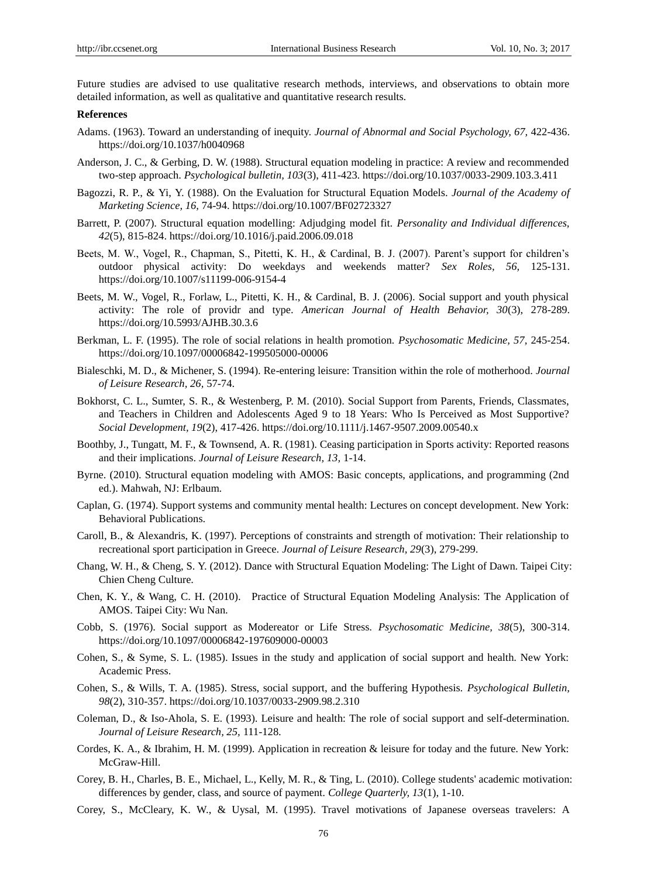Future studies are advised to use qualitative research methods, interviews, and observations to obtain more detailed information, as well as qualitative and quantitative research results.

#### **References**

- Adams. (1963). Toward an understanding of inequity. *Journal of Abnormal and Social Psychology, 67,* 422-436. https://doi.org/10.1037/h0040968
- Anderson, J. C., & Gerbing, D. W. (1988). Structural equation modeling in practice: A review and recommended two-step approach. *Psychological bulletin, 103*(3), 411-423. https://doi.org/10.1037/0033-2909.103.3.411
- Bagozzi, R. P., & Yi, Y. (1988). On the Evaluation for Structural Equation Models. *Journal of the Academy of Marketing Science, 16,* 74-94. https://doi.org/10.1007/BF02723327
- Barrett, P. (2007). Structural equation modelling: Adjudging model fit. *Personality and Individual differences, 42*(5), 815-824. https://doi.org/10.1016/j.paid.2006.09.018
- Beets, M. W., Vogel, R., Chapman, S., Pitetti, K. H., & Cardinal, B. J. (2007). Parent's support for children's outdoor physical activity: Do weekdays and weekends matter? *Sex Roles, 56,* 125-131. https://doi.org/10.1007/s11199-006-9154-4
- Beets, M. W., Vogel, R., Forlaw, L., Pitetti, K. H., & Cardinal, B. J. (2006). Social support and youth physical activity: The role of providr and type. *American Journal of Health Behavior, 30*(3), 278-289. https://doi.org/10.5993/AJHB.30.3.6
- Berkman, L. F. (1995). The role of social relations in health promotion. *Psychosomatic Medicine, 57,* 245-254. https://doi.org/10.1097/00006842-199505000-00006
- Bialeschki, M. D., & Michener, S. (1994). Re-entering leisure: Transition within the role of motherhood. *Journal of Leisure Research, 26,* 57-74.
- Bokhorst, C. L., Sumter, S. R., & Westenberg, P. M. (2010). Social Support from Parents, Friends, Classmates, and Teachers in Children and Adolescents Aged 9 to 18 Years: Who Is Perceived as Most Supportive? *Social Development, 19*(2), 417-426. https://doi.org/10.1111/j.1467-9507.2009.00540.x
- Boothby, J., Tungatt, M. F., & Townsend, A. R. (1981). Ceasing participation in Sports activity: Reported reasons and their implications. *Journal of Leisure Research, 13,* 1-14.
- Byrne. (2010). Structural equation modeling with AMOS: Basic concepts, applications, and programming (2nd ed.). Mahwah, NJ: Erlbaum.
- Caplan, G. (1974). Support systems and community mental health: Lectures on concept development. New York: Behavioral Publications.
- Caroll, B., & Alexandris, K. (1997). Perceptions of constraints and strength of motivation: Their relationship to recreational sport participation in Greece. *Journal of Leisure Research, 29*(3), 279-299.
- Chang, W. H., & Cheng, S. Y. (2012). Dance with Structural Equation Modeling: The Light of Dawn. Taipei City: Chien Cheng Culture.
- Chen, K. Y., & Wang, C. H. (2010). Practice of Structural Equation Modeling Analysis: The Application of AMOS. Taipei City: Wu Nan.
- Cobb, S. (1976). Social support as Modereator or Life Stress. *Psychosomatic Medicine, 38*(5), 300-314. https://doi.org/10.1097/00006842-197609000-00003
- Cohen, S., & Syme, S. L. (1985). Issues in the study and application of social support and health. New York: Academic Press.
- Cohen, S., & Wills, T. A. (1985). Stress, social support, and the buffering Hypothesis. *Psychological Bulletin, 98*(2), 310-357. https://doi.org/10.1037/0033-2909.98.2.310
- Coleman, D., & Iso-Ahola, S. E. (1993). Leisure and health: The role of social support and self-determination. *Journal of Leisure Research, 25,* 111-128.
- Cordes, K. A., & Ibrahim, H. M. (1999). Application in recreation & leisure for today and the future. New York: McGraw-Hill.
- Corey, B. H., Charles, B. E., Michael, L., Kelly, M. R., & Ting, L. (2010). College students' academic motivation: differences by gender, class, and source of payment. *College Quarterly, 13*(1), 1-10.
- Corey, S., McCleary, K. W., & Uysal, M. (1995). Travel motivations of Japanese overseas travelers: A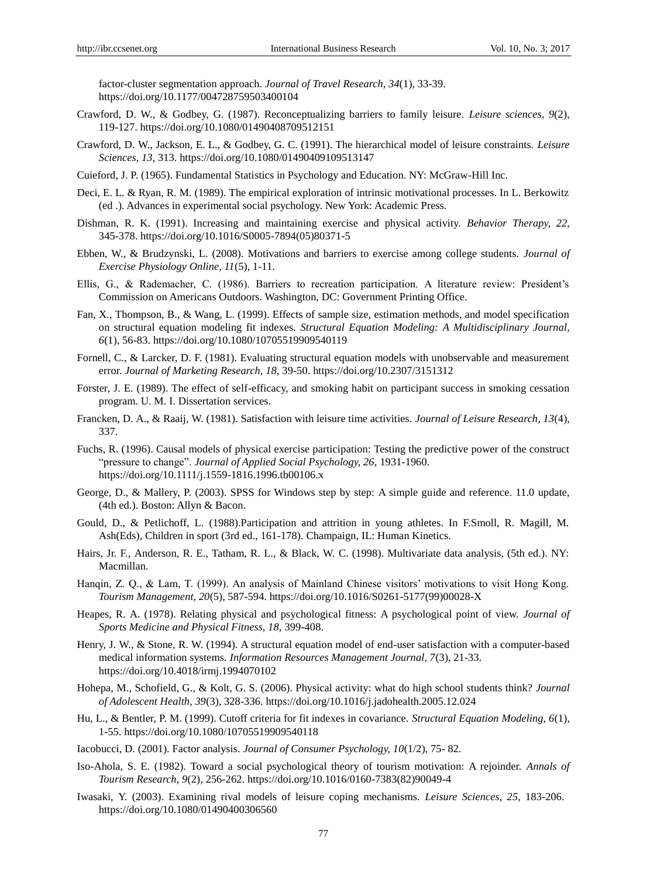factor-cluster segmentation approach. *Journal of Travel Research, 34*(1), 33-39. https://doi.org/10.1177/004728759503400104

- Crawford, D. W., & Godbey, G. (1987). Reconceptualizing barriers to family leisure. *Leisure sciences, 9*(2), 119-127. https://doi.org/10.1080/01490408709512151
- Crawford, D. W., Jackson, E. L., & Godbey, G. C. (1991). The hierarchical model of leisure constraints. *Leisure Sciences, 13,* 313. https://doi.org/10.1080/01490409109513147
- Cuieford, J. P. (1965). Fundamental Statistics in Psychology and Education. NY: McGraw-Hill Inc.
- Deci, E. L. & Ryan, R. M. (1989). The empirical exploration of intrinsic motivational processes. In L. Berkowitz (ed .). Advances in experimental social psychology. New York: Academic Press.
- Dishman, R. K. (1991). Increasing and maintaining exercise and physical activity. *Behavior Therapy, 22,*  345-378. https://doi.org/10.1016/S0005-7894(05)80371-5
- Ebben, W., & Brudzynski, L. (2008). Motivations and barriers to exercise among college students. *Journal of Exercise Physiology Online, 11*(5), 1-11.
- Ellis, G., & Rademacher, C. (1986). Barriers to recreation participation. A literature review: President's Commission on Americans Outdoors. Washington, DC: Government Printing Office.
- Fan, X., Thompson, B., & Wang, L. (1999). Effects of sample size, estimation methods, and model specification on structural equation modeling fit indexes. *Structural Equation Modeling: A Multidisciplinary Journal, 6*(1), 56-83. https://doi.org/10.1080/10705519909540119
- Fornell, C., & Larcker, D. F. (1981). Evaluating structural equation models with unobservable and measurement error. *Journal of Marketing Research, 18,* 39-50. https://doi.org/10.2307/3151312
- Forster, J. E. (1989). The effect of self-efficacy, and smoking habit on participant success in smoking cessation program. U. M. I. Dissertation services.
- Francken, D. A., & Raaij, W. (1981). Satisfaction with leisure time activities. *Journal of Leisure Research, 13*(4), 337.
- Fuchs, R. (1996). Causal models of physical exercise participation: Testing the predictive power of the construct "pressure to change". *Journal of Applied Social Psychology, 26,* 1931-1960. https://doi.org/10.1111/j.1559-1816.1996.tb00106.x
- George, D., & Mallery, P. (2003). SPSS for Windows step by step: A simple guide and reference. 11.0 update, (4th ed.). Boston: Allyn & Bacon.
- Gould, D., & Petlichoff, L. (1988).Participation and attrition in young athletes. In F.Smoll, R. Magill, M. Ash(Eds), Children in sport (3rd ed., 161-178). Champaign, IL: Human Kinetics.
- Hairs, Jr. F., Anderson, R. E., Tatham, R. L., & Black, W. C. (1998). Multivariate data analysis, (5th ed.). NY: Macmillan.
- Hanqin, Z. Q., & Lam, T. (1999). An analysis of Mainland Chinese visitors' motivations to visit Hong Kong. *Tourism Management, 20*(5), 587-594. https://doi.org/10.1016/S0261-5177(99)00028-X
- Heapes, R. A. (1978). Relating physical and psychological fitness: A psychological point of view. *Journal of Sports Medicine and Physical Fitness, 18,* 399-408.
- Henry, J. W., & Stone, R. W. (1994). A structural equation model of end-user satisfaction with a computer-based medical information systems. *Information Resources Management Journal, 7*(3), 21-33. https://doi.org/10.4018/irmj.1994070102
- Hohepa, M., Schofield, G., & Kolt, G. S. (2006). Physical activity: what do high school students think? *Journal of Adolescent Health, 39*(3), 328-336. https://doi.org/10.1016/j.jadohealth.2005.12.024
- Hu, L., & Bentler, P. M. (1999). Cutoff criteria for fit indexes in covariance. *Structural Equation Modeling, 6*(1), 1-55. https://doi.org/10.1080/10705519909540118
- Iacobucci, D. (2001). Factor analysis. *Journal of Consumer Psychology, 10*(1/2), 75- 82.
- Iso-Ahola, S. E. (1982). Toward a social psychological theory of tourism motivation: A rejoinder. *Annals of Tourism Research, 9*(2), 256-262. https://doi.org/10.1016/0160-7383(82)90049-4
- Iwasaki, Y. (2003). Examining rival models of leisure coping mechanisms. *Leisure Sciences, 25,* 183-206. https://doi.org/10.1080/01490400306560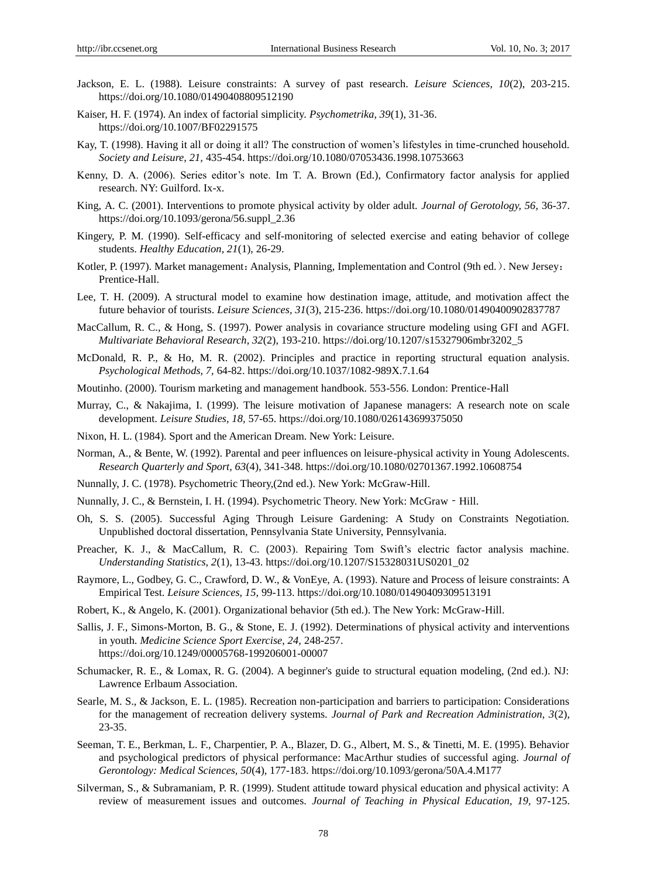- Jackson, E. L. (1988). Leisure constraints: A survey of past research. *Leisure Sciences, 10*(2), 203-215. https://doi.org/10.1080/01490408809512190
- Kaiser, H. F. (1974). An index of factorial simplicity. *Psychometrika, 39*(1), 31-36. https://doi.org/10.1007/BF02291575
- Kay, T. (1998). Having it all or doing it all? The construction of women's lifestyles in time-crunched household. *Society and Leisure, 21,* 435-454. https://doi.org/10.1080/07053436.1998.10753663
- Kenny, D. A. (2006). Series editor's note. Im T. A. Brown (Ed.), Confirmatory factor analysis for applied research. NY: Guilford. Ix-x.
- King, A. C. (2001). Interventions to promote physical activity by older adult. *Journal of Gerotology, 56,* 36-37. https://doi.org/10.1093/gerona/56.suppl\_2.36
- Kingery, P. M. (1990). Self-efficacy and self-monitoring of selected exercise and eating behavior of college students. *Healthy Education, 21*(1), 26-29.
- Kotler, P. (1997). Market management: Analysis, Planning, Implementation and Control (9th ed.). New Jersey: Prentice-Hall.
- Lee, T. H. (2009). A structural model to examine how destination image, attitude, and motivation affect the future behavior of tourists. *Leisure Sciences, 31*(3), 215-236. https://doi.org/10.1080/01490400902837787
- MacCallum, R. C., & Hong, S. (1997). Power analysis in covariance structure modeling using GFI and AGFI. *Multivariate Behavioral Research, 32*(2), 193-210. https://doi.org/10.1207/s15327906mbr3202\_5
- McDonald, R. P., & Ho, M. R. (2002). Principles and practice in reporting structural equation analysis. *Psychological Methods, 7,* 64-82. https://doi.org/10.1037/1082-989X.7.1.64
- Moutinho. (2000). Tourism marketing and management handbook. 553-556. London: Prentice-Hall
- Murray, C., & Nakajima, I. (1999). The leisure motivation of Japanese managers: A research note on scale development. *Leisure Studies, 18,* 57-65. https://doi.org/10.1080/026143699375050
- Nixon, H. L. (1984). Sport and the American Dream. New York: Leisure.
- Norman, A., & Bente, W. (1992). Parental and peer influences on leisure-physical activity in Young Adolescents. *Research Quarterly and Sport, 63*(4), 341-348. https://doi.org/10.1080/02701367.1992.10608754
- Nunnally, J. C. (1978). Psychometric Theory,(2nd ed.). New York: McGraw-Hill.
- Nunnally, J. C., & Bernstein, I. H. (1994). Psychometric Theory. New York: McGraw Hill.
- Oh, S. S. (2005). Successful Aging Through Leisure Gardening: A Study on Constraints Negotiation. Unpublished doctoral dissertation, Pennsylvania State University, Pennsylvania.
- Preacher, K. J., & MacCallum, R. C. (2003). Repairing Tom Swift's electric factor analysis machine. *Understanding Statistics, 2*(1), 13-43. https://doi.org/10.1207/S15328031US0201\_02
- Raymore, L., Godbey, G. C., Crawford, D. W., & VonEye, A. (1993). Nature and Process of leisure constraints: A Empirical Test. *Leisure Sciences, 15,* 99-113. https://doi.org/10.1080/01490409309513191
- Robert, K., & Angelo, K. (2001). Organizational behavior (5th ed.). The New York: McGraw-Hill.
- Sallis, J. F., Simons-Morton, B. G., & Stone, E. J. (1992). Determinations of physical activity and interventions in youth. *Medicine Science Sport Exercise, 24,* 248-257. https://doi.org/10.1249/00005768-199206001-00007
- Schumacker, R. E., & Lomax, R. G. (2004). A beginner's guide to structural equation modeling, (2nd ed.). NJ: Lawrence Erlbaum Association.
- Searle, M. S., & Jackson, E. L. (1985). Recreation non-participation and barriers to participation: Considerations for the management of recreation delivery systems. *Journal of Park and Recreation Administration, 3*(2), 23-35.
- Seeman, T. E., Berkman, L. F., Charpentier, P. A., Blazer, D. G., Albert, M. S., & Tinetti, M. E. (1995). Behavior and psychological predictors of physical performance: MacArthur studies of successful aging. *Journal of Gerontology: Medical Sciences, 50*(4), 177-183. https://doi.org/10.1093/gerona/50A.4.M177
- Silverman, S., & Subramaniam, P. R. (1999). Student attitude toward physical education and physical activity: A review of measurement issues and outcomes. *Journal of Teaching in Physical Education, 19,* 97-125.